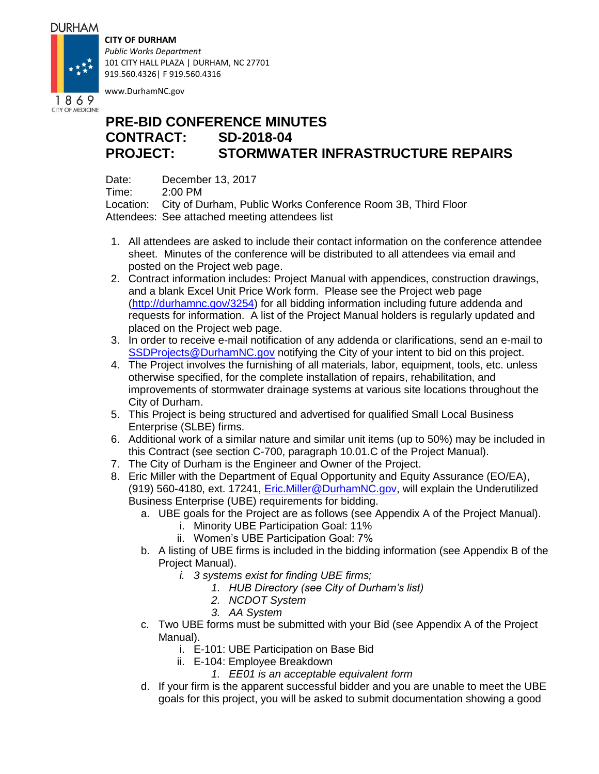## **DURHAM**

1869 **CITY OF MEDICINE** 

## **CITY OF DURHAM**

*Public Works Department* 101 CITY HALL PLAZA | DURHAM, NC 27701 919.560.4326| F 919.560.4316

www.DurhamNC.gov

## **PRE-BID CONFERENCE MINUTES CONTRACT: SD-2018-04 PROJECT: STORMWATER INFRASTRUCTURE REPAIRS**

Date: December 13, 2017

Time: 2:00 PM

Location: City of Durham, Public Works Conference Room 3B, Third Floor Attendees: See attached meeting attendees list

- 1. All attendees are asked to include their contact information on the conference attendee sheet. Minutes of the conference will be distributed to all attendees via email and posted on the Project web page.
- 2. Contract information includes: Project Manual with appendices, construction drawings, and a blank Excel Unit Price Work form. Please see the Project web page [\(http://durhamnc.gov/3254\)](http://durhamnc.gov/3254) for all bidding information including future addenda and requests for information. A list of the Project Manual holders is regularly updated and placed on the Project web page.
- 3. In order to receive e-mail notification of any addenda or clarifications, send an e-mail to [SSDProjects@DurhamNC.gov](mailto:SSDProjects@DurhamNC.gov) notifying the City of your intent to bid on this project.
- 4. The Project involves the furnishing of all materials, labor, equipment, tools, etc. unless otherwise specified, for the complete installation of repairs, rehabilitation, and improvements of stormwater drainage systems at various site locations throughout the City of Durham.
- 5. This Project is being structured and advertised for qualified Small Local Business Enterprise (SLBE) firms.
- 6. Additional work of a similar nature and similar unit items (up to 50%) may be included in this Contract (see section C-700, paragraph 10.01.C of the Project Manual).
- 7. The City of Durham is the Engineer and Owner of the Project.
- 8. Eric Miller with the Department of Equal Opportunity and Equity Assurance (EO/EA), (919) 560-4180, ext. 17241, [Eric.Miller@DurhamNC.gov,](mailto:Eric.Miller@DurhamNC.gov) will explain the Underutilized Business Enterprise (UBE) requirements for bidding.
	- a. UBE goals for the Project are as follows (see Appendix A of the Project Manual).
		- i. Minority UBE Participation Goal: 11%
		- ii. Women's UBE Participation Goal: 7%
	- b. A listing of UBE firms is included in the bidding information (see Appendix B of the Project Manual).
		- *i. 3 systems exist for finding UBE firms;*
			- *1. HUB Directory (see City of Durham's list)*
			- *2. NCDOT System*
			- *3. AA System*
	- c. Two UBE forms must be submitted with your Bid (see Appendix A of the Project Manual).
		- i. E-101: UBE Participation on Base Bid
		- ii. E-104: Employee Breakdown
			- *1. EE01 is an acceptable equivalent form*
	- d. If your firm is the apparent successful bidder and you are unable to meet the UBE goals for this project, you will be asked to submit documentation showing a good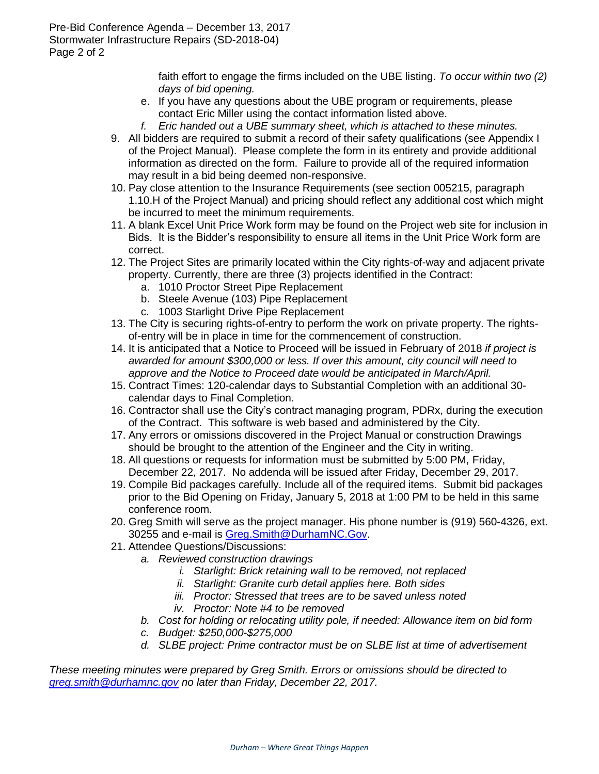faith effort to engage the firms included on the UBE listing. *To occur within two (2) days of bid opening.*

- e. If you have any questions about the UBE program or requirements, please contact Eric Miller using the contact information listed above.
- *f. Eric handed out a UBE summary sheet, which is attached to these minutes.*
- 9. All bidders are required to submit a record of their safety qualifications (see Appendix I of the Project Manual). Please complete the form in its entirety and provide additional information as directed on the form. Failure to provide all of the required information may result in a bid being deemed non-responsive.
- 10. Pay close attention to the Insurance Requirements (see section 005215, paragraph 1.10.H of the Project Manual) and pricing should reflect any additional cost which might be incurred to meet the minimum requirements.
- 11. A blank Excel Unit Price Work form may be found on the Project web site for inclusion in Bids. It is the Bidder's responsibility to ensure all items in the Unit Price Work form are correct.
- 12. The Project Sites are primarily located within the City rights-of-way and adjacent private property. Currently, there are three (3) projects identified in the Contract:
	- a. 1010 Proctor Street Pipe Replacement
	- b. Steele Avenue (103) Pipe Replacement
	- c. 1003 Starlight Drive Pipe Replacement
- 13. The City is securing rights-of-entry to perform the work on private property. The rightsof-entry will be in place in time for the commencement of construction.
- 14. It is anticipated that a Notice to Proceed will be issued in February of 2018 *if project is awarded for amount \$300,000 or less. If over this amount, city council will need to approve and the Notice to Proceed date would be anticipated in March/April.*
- 15. Contract Times: 120-calendar days to Substantial Completion with an additional 30 calendar days to Final Completion.
- 16. Contractor shall use the City's contract managing program, PDRx, during the execution of the Contract. This software is web based and administered by the City.
- 17. Any errors or omissions discovered in the Project Manual or construction Drawings should be brought to the attention of the Engineer and the City in writing.
- 18. All questions or requests for information must be submitted by 5:00 PM, Friday, December 22, 2017. No addenda will be issued after Friday, December 29, 2017.
- 19. Compile Bid packages carefully. Include all of the required items. Submit bid packages prior to the Bid Opening on Friday, January 5, 2018 at 1:00 PM to be held in this same conference room.
- 20. Greg Smith will serve as the project manager. His phone number is (919) 560-4326, ext. 30255 and e-mail is [Greg.Smith@DurhamNC.Gov.](mailto:Greg.Smith@DurhamNC.Gov)
- 21. Attendee Questions/Discussions:
	- *a. Reviewed construction drawings*
		- *i. Starlight: Brick retaining wall to be removed, not replaced*
		- *ii. Starlight: Granite curb detail applies here. Both sides*
		- *iii. Proctor: Stressed that trees are to be saved unless noted*
		- *iv. Proctor: Note #4 to be removed*
	- *b. Cost for holding or relocating utility pole, if needed: Allowance item on bid form*
	- *c. Budget: \$250,000-\$275,000*
	- *d. SLBE project: Prime contractor must be on SLBE list at time of advertisement*

*These meeting minutes were prepared by Greg Smith. Errors or omissions should be directed to [greg.smith@durhamnc.gov](mailto:greg.smith@durhamnc.gov) no later than Friday, December 22, 2017.*